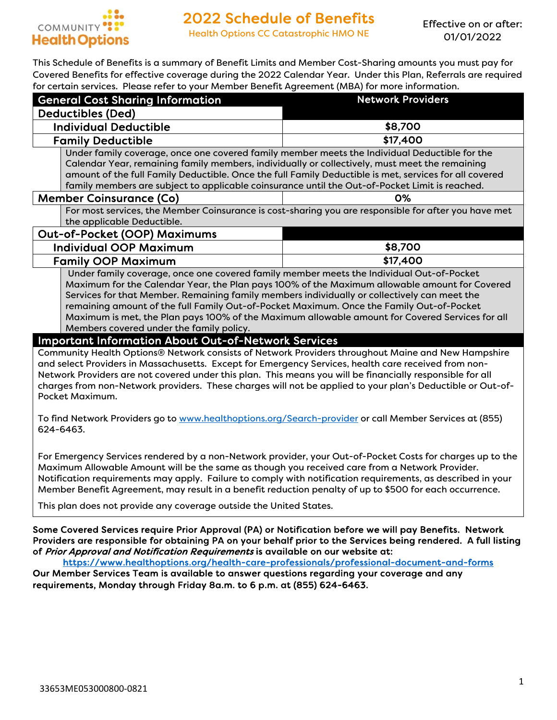

Health Options CC Catastrophic HMO NE

Effective on or after: 01/01/2022

This Schedule of Benefits is a summary of Benefit Limits and Member Cost-Sharing amounts you must pay for Covered Benefits for effective coverage during the 2022 Calendar Year. Under this Plan, Referrals are required for certain services. Please refer to your Member Benefit Agreement (MBA) for more information.

| וטו ככונעווו אכו ווכס, ו וכשאכ וכוכו עט וטעו וווכווווטכו מכווכות הקוככוווכות (וויומה) וטו וווטוכ ווווטוווועי<br><b>General Cost Sharing Information</b>                                                                                                                                                                                                                                                                                                                                                                                                                                                                                                                                                                                                                                                                                                                                                                                                                                                                                     | <b>Network Providers</b>                                                                                  |  |
|---------------------------------------------------------------------------------------------------------------------------------------------------------------------------------------------------------------------------------------------------------------------------------------------------------------------------------------------------------------------------------------------------------------------------------------------------------------------------------------------------------------------------------------------------------------------------------------------------------------------------------------------------------------------------------------------------------------------------------------------------------------------------------------------------------------------------------------------------------------------------------------------------------------------------------------------------------------------------------------------------------------------------------------------|-----------------------------------------------------------------------------------------------------------|--|
| <b>Deductibles (Ded)</b>                                                                                                                                                                                                                                                                                                                                                                                                                                                                                                                                                                                                                                                                                                                                                                                                                                                                                                                                                                                                                    |                                                                                                           |  |
| <b>Individual Deductible</b><br>\$8,700                                                                                                                                                                                                                                                                                                                                                                                                                                                                                                                                                                                                                                                                                                                                                                                                                                                                                                                                                                                                     |                                                                                                           |  |
| \$17,400<br><b>Family Deductible</b>                                                                                                                                                                                                                                                                                                                                                                                                                                                                                                                                                                                                                                                                                                                                                                                                                                                                                                                                                                                                        |                                                                                                           |  |
| Under family coverage, once one covered family member meets the Individual Deductible for the                                                                                                                                                                                                                                                                                                                                                                                                                                                                                                                                                                                                                                                                                                                                                                                                                                                                                                                                               |                                                                                                           |  |
| Calendar Year, remaining family members, individually or collectively, must meet the remaining                                                                                                                                                                                                                                                                                                                                                                                                                                                                                                                                                                                                                                                                                                                                                                                                                                                                                                                                              |                                                                                                           |  |
|                                                                                                                                                                                                                                                                                                                                                                                                                                                                                                                                                                                                                                                                                                                                                                                                                                                                                                                                                                                                                                             | amount of the full Family Deductible. Once the full Family Deductible is met, services for all covered    |  |
| family members are subject to applicable coinsurance until the Out-of-Pocket Limit is reached.                                                                                                                                                                                                                                                                                                                                                                                                                                                                                                                                                                                                                                                                                                                                                                                                                                                                                                                                              |                                                                                                           |  |
| <b>Member Coinsurance (Co)</b>                                                                                                                                                                                                                                                                                                                                                                                                                                                                                                                                                                                                                                                                                                                                                                                                                                                                                                                                                                                                              | 0%                                                                                                        |  |
|                                                                                                                                                                                                                                                                                                                                                                                                                                                                                                                                                                                                                                                                                                                                                                                                                                                                                                                                                                                                                                             | For most services, the Member Coinsurance is cost-sharing you are responsible for after you have met      |  |
| the applicable Deductible.                                                                                                                                                                                                                                                                                                                                                                                                                                                                                                                                                                                                                                                                                                                                                                                                                                                                                                                                                                                                                  |                                                                                                           |  |
| <b>Out-of-Pocket (OOP) Maximums</b>                                                                                                                                                                                                                                                                                                                                                                                                                                                                                                                                                                                                                                                                                                                                                                                                                                                                                                                                                                                                         |                                                                                                           |  |
| <b>Individual OOP Maximum</b>                                                                                                                                                                                                                                                                                                                                                                                                                                                                                                                                                                                                                                                                                                                                                                                                                                                                                                                                                                                                               | \$8,700                                                                                                   |  |
| <b>Family OOP Maximum</b>                                                                                                                                                                                                                                                                                                                                                                                                                                                                                                                                                                                                                                                                                                                                                                                                                                                                                                                                                                                                                   | \$17,400                                                                                                  |  |
| Under family coverage, once one covered family member meets the Individual Out-of-Pocket<br>Maximum for the Calendar Year, the Plan pays 100% of the Maximum allowable amount for Covered<br>Services for that Member. Remaining family members individually or collectively can meet the<br>remaining amount of the full Family Out-of-Pocket Maximum. Once the Family Out-of-Pocket<br>Maximum is met, the Plan pays 100% of the Maximum allowable amount for Covered Services for all<br>Members covered under the family policy.<br><b>Important Information About Out-of-Network Services</b><br>Community Health Options® Network consists of Network Providers throughout Maine and New Hampshire<br>and select Providers in Massachusetts. Except for Emergency Services, health care received from non-<br>Network Providers are not covered under this plan. This means you will be financially responsible for all<br>charges from non-Network providers. These charges will not be applied to your plan's Deductible or Out-of- |                                                                                                           |  |
| Pocket Maximum.<br>To find Network Providers go to www.healthoptions.org/Search-provider or call Member Services at (855)<br>624-6463.<br>Maximum Allowable Amount will be the same as though you received care from a Network Provider.<br>Notification requirements may apply. Failure to comply with notification requirements, as described in your<br>Member Benefit Agreement, may result in a benefit reduction penalty of up to \$500 for each occurrence.                                                                                                                                                                                                                                                                                                                                                                                                                                                                                                                                                                          | For Emergency Services rendered by a non-Network provider, your Out-of-Pocket Costs for charges up to the |  |

This plan does not provide any coverage outside the United States.

Some Covered Services require Prior Approval (PA) or Notification before we will pay Benefits. Network Providers are responsible for obtaining PA on your behalf prior to the Services being rendered. A full listing of Prior Approval and Notification Requirements is available on our website at:

https://www.healthoptions.org/health-care-professionals/professional-document-and-forms

Our Member Services Team is available to answer questions regarding your coverage and any requirements, Monday through Friday 8a.m. to 6 p.m. at (855) 624-6463.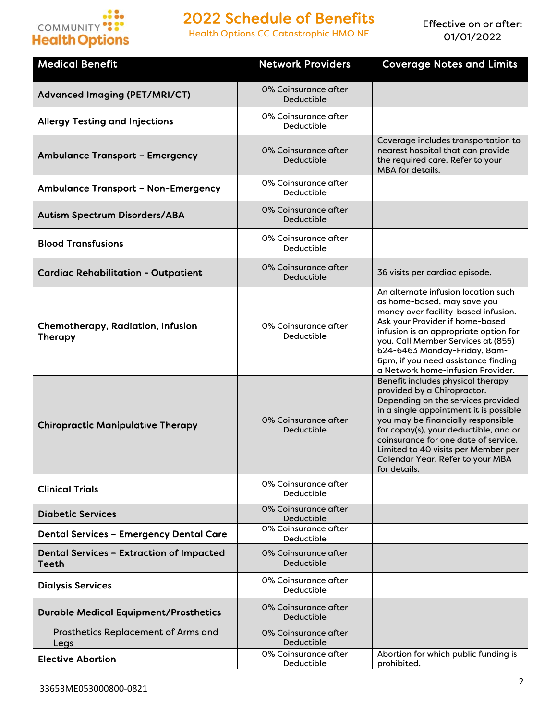

Health Options CC Catastrophic HMO NE

| <b>Medical Benefit</b>                                     | <b>Network Providers</b>                  | <b>Coverage Notes and Limits</b>                                                                                                                                                                                                                                                                                                                                   |
|------------------------------------------------------------|-------------------------------------------|--------------------------------------------------------------------------------------------------------------------------------------------------------------------------------------------------------------------------------------------------------------------------------------------------------------------------------------------------------------------|
| <b>Advanced Imaging (PET/MRI/CT)</b>                       | 0% Coinsurance after<br>Deductible        |                                                                                                                                                                                                                                                                                                                                                                    |
| <b>Allergy Testing and Injections</b>                      | 0% Coinsurance after<br>Deductible        |                                                                                                                                                                                                                                                                                                                                                                    |
| <b>Ambulance Transport - Emergency</b>                     | 0% Coinsurance after<br><b>Deductible</b> | Coverage includes transportation to<br>nearest hospital that can provide<br>the required care. Refer to your<br>MBA for details.                                                                                                                                                                                                                                   |
| <b>Ambulance Transport - Non-Emergency</b>                 | 0% Coinsurance after<br>Deductible        |                                                                                                                                                                                                                                                                                                                                                                    |
| <b>Autism Spectrum Disorders/ABA</b>                       | 0% Coinsurance after<br>Deductible        |                                                                                                                                                                                                                                                                                                                                                                    |
| <b>Blood Transfusions</b>                                  | 0% Coinsurance after<br>Deductible        |                                                                                                                                                                                                                                                                                                                                                                    |
| <b>Cardiac Rehabilitation - Outpatient</b>                 | 0% Coinsurance after<br>Deductible        | 36 visits per cardiac episode.                                                                                                                                                                                                                                                                                                                                     |
| <b>Chemotherapy, Radiation, Infusion</b><br><b>Therapy</b> | 0% Coinsurance after<br>Deductible        | An alternate infusion location such<br>as home-based, may save you<br>money over facility-based infusion.<br>Ask your Provider if home-based<br>infusion is an appropriate option for<br>you. Call Member Services at (855)<br>624-6463 Monday-Friday, 8am-<br>6pm, if you need assistance finding<br>a Network home-infusion Provider.                            |
| <b>Chiropractic Manipulative Therapy</b>                   | 0% Coinsurance after<br>Deductible        | Benefit includes physical therapy<br>provided by a Chiropractor.<br>Depending on the services provided<br>in a single appointment it is possible<br>you may be financially responsible<br>for copay(s), your deductible, and or<br>coinsurance for one date of service.<br>Limited to 40 visits per Member per<br>Calendar Year. Refer to your MBA<br>for details. |
| <b>Clinical Trials</b>                                     | 0% Coinsurance after<br>Deductible        |                                                                                                                                                                                                                                                                                                                                                                    |
| <b>Diabetic Services</b>                                   | 0% Coinsurance after<br>Deductible        |                                                                                                                                                                                                                                                                                                                                                                    |
| <b>Dental Services - Emergency Dental Care</b>             | 0% Coinsurance after<br>Deductible        |                                                                                                                                                                                                                                                                                                                                                                    |
| <b>Dental Services - Extraction of Impacted</b><br>Teeth   | 0% Coinsurance after<br>Deductible        |                                                                                                                                                                                                                                                                                                                                                                    |
| <b>Dialysis Services</b>                                   | 0% Coinsurance after<br>Deductible        |                                                                                                                                                                                                                                                                                                                                                                    |
| <b>Durable Medical Equipment/Prosthetics</b>               | 0% Coinsurance after<br>Deductible        |                                                                                                                                                                                                                                                                                                                                                                    |
| Prosthetics Replacement of Arms and<br>Legs                | 0% Coinsurance after<br>Deductible        |                                                                                                                                                                                                                                                                                                                                                                    |
| <b>Elective Abortion</b>                                   | 0% Coinsurance after<br>Deductible        | Abortion for which public funding is<br>prohibited.                                                                                                                                                                                                                                                                                                                |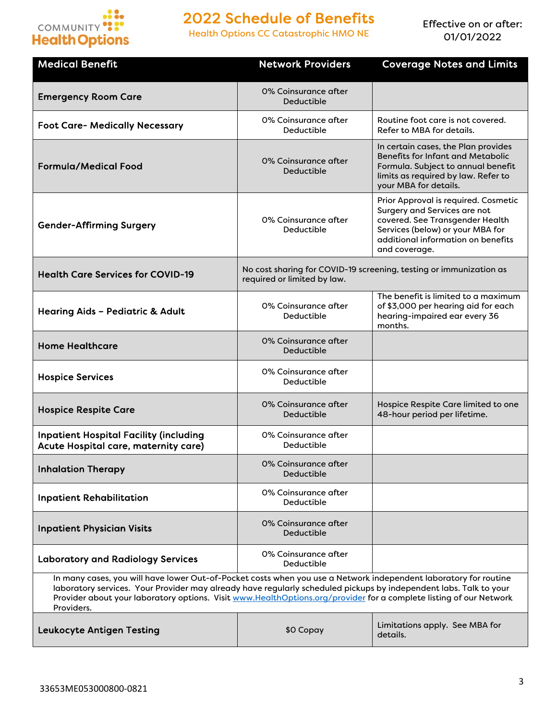

Health Options CC Catastrophic HMO NE

| <b>Medical Benefit</b>                                                                                                                                                                                                                                                                                                                                                    | <b>Network Providers</b>                                                                          | <b>Coverage Notes and Limits</b>                                                                                                                                                                   |
|---------------------------------------------------------------------------------------------------------------------------------------------------------------------------------------------------------------------------------------------------------------------------------------------------------------------------------------------------------------------------|---------------------------------------------------------------------------------------------------|----------------------------------------------------------------------------------------------------------------------------------------------------------------------------------------------------|
| <b>Emergency Room Care</b>                                                                                                                                                                                                                                                                                                                                                | 0% Coinsurance after<br>Deductible                                                                |                                                                                                                                                                                                    |
| <b>Foot Care- Medically Necessary</b>                                                                                                                                                                                                                                                                                                                                     | 0% Coinsurance after<br>Deductible                                                                | Routine foot care is not covered.<br>Refer to MBA for details.                                                                                                                                     |
| <b>Formula/Medical Food</b>                                                                                                                                                                                                                                                                                                                                               | 0% Coinsurance after<br>Deductible                                                                | In certain cases, the Plan provides<br><b>Benefits for Infant and Metabolic</b><br>Formula. Subject to annual benefit<br>limits as required by law. Refer to<br>your MBA for details.              |
| <b>Gender-Affirming Surgery</b>                                                                                                                                                                                                                                                                                                                                           | 0% Coinsurance after<br>Deductible                                                                | Prior Approval is required. Cosmetic<br>Surgery and Services are not<br>covered. See Transgender Health<br>Services (below) or your MBA for<br>additional information on benefits<br>and coverage. |
| <b>Health Care Services for COVID-19</b>                                                                                                                                                                                                                                                                                                                                  | No cost sharing for COVID-19 screening, testing or immunization as<br>required or limited by law. |                                                                                                                                                                                                    |
| Hearing Aids - Pediatric & Adult                                                                                                                                                                                                                                                                                                                                          | 0% Coinsurance after<br>Deductible                                                                | The benefit is limited to a maximum<br>of \$3,000 per hearing aid for each<br>hearing-impaired ear every 36<br>months.                                                                             |
| <b>Home Healthcare</b>                                                                                                                                                                                                                                                                                                                                                    | 0% Coinsurance after<br>Deductible                                                                |                                                                                                                                                                                                    |
| <b>Hospice Services</b>                                                                                                                                                                                                                                                                                                                                                   | 0% Coinsurance after<br>Deductible                                                                |                                                                                                                                                                                                    |
| <b>Hospice Respite Care</b>                                                                                                                                                                                                                                                                                                                                               | 0% Coinsurance after<br>Deductible                                                                | Hospice Respite Care limited to one<br>48-hour period per lifetime.                                                                                                                                |
| <b>Inpatient Hospital Facility (including</b><br>Acute Hospital care, maternity care)                                                                                                                                                                                                                                                                                     | 0% Coinsurance after<br>Deductible                                                                |                                                                                                                                                                                                    |
| <b>Inhalation Therapy</b>                                                                                                                                                                                                                                                                                                                                                 | 0% Coinsurance after<br>Deductible                                                                |                                                                                                                                                                                                    |
| <b>Inpatient Rehabilitation</b>                                                                                                                                                                                                                                                                                                                                           | 0% Coinsurance after<br>Deductible                                                                |                                                                                                                                                                                                    |
| <b>Inpatient Physician Visits</b>                                                                                                                                                                                                                                                                                                                                         | 0% Coinsurance after<br>Deductible                                                                |                                                                                                                                                                                                    |
| <b>Laboratory and Radiology Services</b>                                                                                                                                                                                                                                                                                                                                  | 0% Coinsurance after<br>Deductible                                                                |                                                                                                                                                                                                    |
| In many cases, you will have lower Out-of-Pocket costs when you use a Network independent laboratory for routine<br>laboratory services. Your Provider may already have regularly scheduled pickups by independent labs. Talk to your<br>Provider about your laboratory options. Visit www.HealthOptions.org/provider for a complete listing of our Network<br>Providers. |                                                                                                   |                                                                                                                                                                                                    |
| <b>Leukocyte Antigen Testing</b>                                                                                                                                                                                                                                                                                                                                          | \$0 Copay                                                                                         | Limitations apply. See MBA for<br>details.                                                                                                                                                         |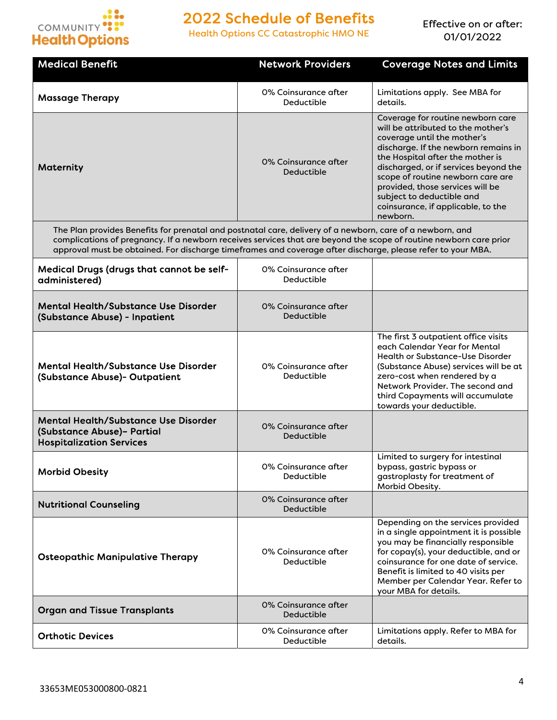

Health Options CC Catastrophic HMO NE

| <b>Medical Benefit</b>                                                                                                                                                                                                                                                                                                                         | <b>Network Providers</b>                  | <b>Coverage Notes and Limits</b>                                                                                                                                                                                                                                                                                                                                                    |
|------------------------------------------------------------------------------------------------------------------------------------------------------------------------------------------------------------------------------------------------------------------------------------------------------------------------------------------------|-------------------------------------------|-------------------------------------------------------------------------------------------------------------------------------------------------------------------------------------------------------------------------------------------------------------------------------------------------------------------------------------------------------------------------------------|
| <b>Massage Therapy</b>                                                                                                                                                                                                                                                                                                                         | 0% Coinsurance after<br>Deductible        | Limitations apply. See MBA for<br>details.                                                                                                                                                                                                                                                                                                                                          |
| Maternity                                                                                                                                                                                                                                                                                                                                      | 0% Coinsurance after<br>Deductible        | Coverage for routine newborn care<br>will be attributed to the mother's<br>coverage until the mother's<br>discharge. If the newborn remains in<br>the Hospital after the mother is<br>discharged, or if services beyond the<br>scope of routine newborn care are<br>provided, those services will be<br>subject to deductible and<br>coinsurance, if applicable, to the<br>newborn. |
| The Plan provides Benefits for prenatal and postnatal care, delivery of a newborn, care of a newborn, and<br>complications of pregnancy. If a newborn receives services that are beyond the scope of routine newborn care prior<br>approval must be obtained. For discharge timeframes and coverage after discharge, please refer to your MBA. |                                           |                                                                                                                                                                                                                                                                                                                                                                                     |
| Medical Drugs (drugs that cannot be self-<br>administered)                                                                                                                                                                                                                                                                                     | 0% Coinsurance after<br>Deductible        |                                                                                                                                                                                                                                                                                                                                                                                     |
| <b>Mental Health/Substance Use Disorder</b><br>(Substance Abuse) - Inpatient                                                                                                                                                                                                                                                                   | 0% Coinsurance after<br>Deductible        |                                                                                                                                                                                                                                                                                                                                                                                     |
| <b>Mental Health/Substance Use Disorder</b><br>(Substance Abuse) - Outpatient                                                                                                                                                                                                                                                                  | 0% Coinsurance after<br>Deductible        |                                                                                                                                                                                                                                                                                                                                                                                     |
| <b>Mental Health/Substance Use Disorder</b><br>(Substance Abuse)- Partial<br><b>Hospitalization Services</b>                                                                                                                                                                                                                                   | 0% Coinsurance after<br>Deductible        |                                                                                                                                                                                                                                                                                                                                                                                     |
| <b>Morbid Obesity</b>                                                                                                                                                                                                                                                                                                                          | 0% Coinsurance after<br>Deductible        | Limited to surgery for intestinal<br>bypass, gastric bypass or<br>gastroplasty for treatment of<br>Morbid Obesity.                                                                                                                                                                                                                                                                  |
| <b>Nutritional Counseling</b>                                                                                                                                                                                                                                                                                                                  | 0% Coinsurance after<br><b>Deductible</b> |                                                                                                                                                                                                                                                                                                                                                                                     |
| <b>Osteopathic Manipulative Therapy</b>                                                                                                                                                                                                                                                                                                        | 0% Coinsurance after<br>Deductible        | Depending on the services provided<br>in a single appointment it is possible<br>you may be financially responsible<br>for copay(s), your deductible, and or<br>coinsurance for one date of service.<br>Benefit is limited to 40 visits per<br>Member per Calendar Year. Refer to<br>your MBA for details.                                                                           |
| <b>Organ and Tissue Transplants</b>                                                                                                                                                                                                                                                                                                            | 0% Coinsurance after<br>Deductible        |                                                                                                                                                                                                                                                                                                                                                                                     |
| <b>Orthotic Devices</b>                                                                                                                                                                                                                                                                                                                        | 0% Coinsurance after<br>Deductible        | Limitations apply. Refer to MBA for<br>details.                                                                                                                                                                                                                                                                                                                                     |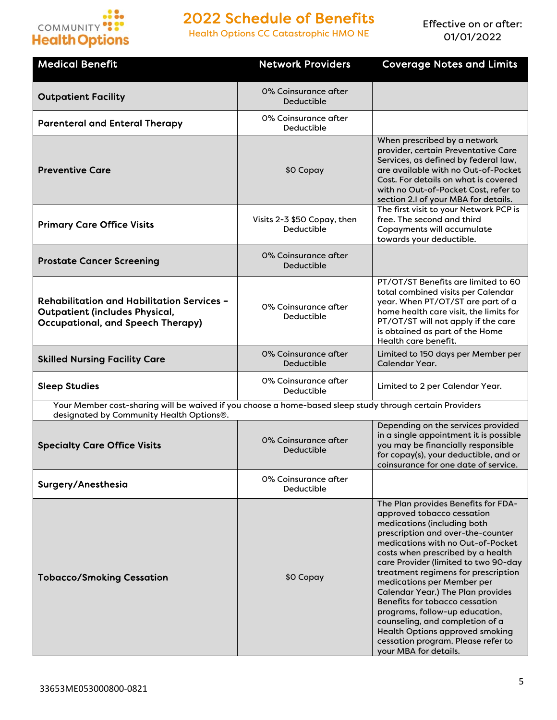

Health Options CC Catastrophic HMO NE

| <b>Medical Benefit</b>                                                                                                                               | <b>Network Providers</b>                  | <b>Coverage Notes and Limits</b>                                                                                                                                                                                                                                                                                                                                                                                                                                                                                                                                                  |  |
|------------------------------------------------------------------------------------------------------------------------------------------------------|-------------------------------------------|-----------------------------------------------------------------------------------------------------------------------------------------------------------------------------------------------------------------------------------------------------------------------------------------------------------------------------------------------------------------------------------------------------------------------------------------------------------------------------------------------------------------------------------------------------------------------------------|--|
| <b>Outpatient Facility</b>                                                                                                                           | 0% Coinsurance after<br><b>Deductible</b> |                                                                                                                                                                                                                                                                                                                                                                                                                                                                                                                                                                                   |  |
| <b>Parenteral and Enteral Therapy</b>                                                                                                                | 0% Coinsurance after<br>Deductible        |                                                                                                                                                                                                                                                                                                                                                                                                                                                                                                                                                                                   |  |
| <b>Preventive Care</b>                                                                                                                               | \$0 Copay                                 | When prescribed by a network<br>provider, certain Preventative Care<br>Services, as defined by federal law,<br>are available with no Out-of-Pocket<br>Cost. For details on what is covered<br>with no Out-of-Pocket Cost, refer to<br>section 2.I of your MBA for details.                                                                                                                                                                                                                                                                                                        |  |
| <b>Primary Care Office Visits</b>                                                                                                                    | Visits 2-3 \$50 Copay, then<br>Deductible | The first visit to your Network PCP is<br>free. The second and third<br>Copayments will accumulate<br>towards your deductible.                                                                                                                                                                                                                                                                                                                                                                                                                                                    |  |
| <b>Prostate Cancer Screening</b>                                                                                                                     | 0% Coinsurance after<br>Deductible        |                                                                                                                                                                                                                                                                                                                                                                                                                                                                                                                                                                                   |  |
| <b>Rehabilitation and Habilitation Services -</b><br><b>Outpatient (includes Physical,</b><br><b>Occupational, and Speech Therapy)</b>               | 0% Coinsurance after<br>Deductible        | PT/OT/ST Benefits are limited to 60<br>total combined visits per Calendar<br>year. When PT/OT/ST are part of a<br>home health care visit, the limits for<br>PT/OT/ST will not apply if the care<br>is obtained as part of the Home<br>Health care benefit.                                                                                                                                                                                                                                                                                                                        |  |
| <b>Skilled Nursing Facility Care</b>                                                                                                                 | 0% Coinsurance after<br>Deductible        | Limited to 150 days per Member per<br>Calendar Year.                                                                                                                                                                                                                                                                                                                                                                                                                                                                                                                              |  |
| <b>Sleep Studies</b>                                                                                                                                 | 0% Coinsurance after<br>Deductible        | Limited to 2 per Calendar Year.                                                                                                                                                                                                                                                                                                                                                                                                                                                                                                                                                   |  |
| Your Member cost-sharing will be waived if you choose a home-based sleep study through certain Providers<br>designated by Community Health Options®. |                                           |                                                                                                                                                                                                                                                                                                                                                                                                                                                                                                                                                                                   |  |
| <b>Specialty Care Office Visits</b>                                                                                                                  | 0% Coinsurance after<br>Deductible        | Depending on the services provided<br>in a single appointment it is possible<br>you may be financially responsible<br>for copay(s), your deductible, and or<br>coinsurance for one date of service.                                                                                                                                                                                                                                                                                                                                                                               |  |
| Surgery/Anesthesia                                                                                                                                   | 0% Coinsurance after<br>Deductible        |                                                                                                                                                                                                                                                                                                                                                                                                                                                                                                                                                                                   |  |
| <b>Tobacco/Smoking Cessation</b>                                                                                                                     | \$0 Copay                                 | The Plan provides Benefits for FDA-<br>approved tobacco cessation<br>medications (including both<br>prescription and over-the-counter<br>medications with no Out-of-Pocket<br>costs when prescribed by a health<br>care Provider (limited to two 90-day<br>treatment regimens for prescription<br>medications per Member per<br><b>Calendar Year.) The Plan provides</b><br>Benefits for tobacco cessation<br>programs, follow-up education,<br>counseling, and completion of a<br>Health Options approved smoking<br>cessation program. Please refer to<br>your MBA for details. |  |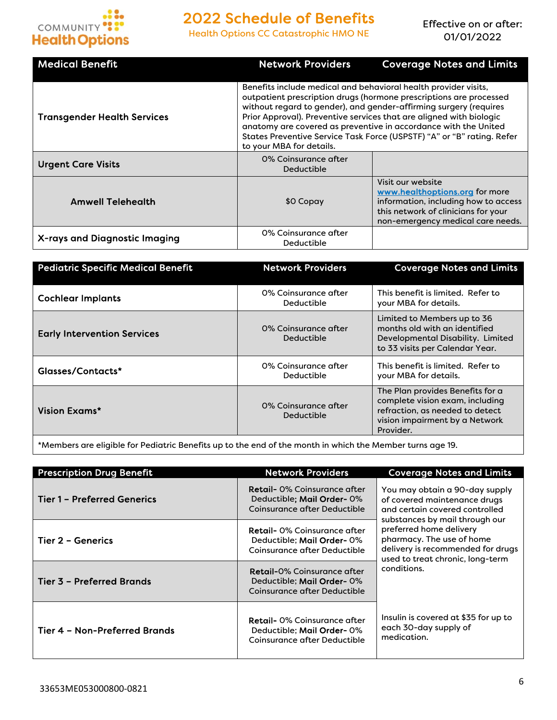

Health Options CC Catastrophic HMO NE

Effective on or after: 01/01/2022

| <b>Medical Benefit</b>             | <b>Network Providers</b>                                                                                                                                                                                                                                                                                                                                                                                                                                   | <b>Coverage Notes and Limits</b>                                                                                                                                        |  |
|------------------------------------|------------------------------------------------------------------------------------------------------------------------------------------------------------------------------------------------------------------------------------------------------------------------------------------------------------------------------------------------------------------------------------------------------------------------------------------------------------|-------------------------------------------------------------------------------------------------------------------------------------------------------------------------|--|
| <b>Transgender Health Services</b> | Benefits include medical and behavioral health provider visits,<br>outpatient prescription drugs (hormone prescriptions are processed<br>without regard to gender), and gender-affirming surgery (requires<br>Prior Approval). Preventive services that are aligned with biologic<br>anatomy are covered as preventive in accordance with the United<br>States Preventive Service Task Force (USPSTF) "A" or "B" rating. Refer<br>to your MBA for details. |                                                                                                                                                                         |  |
| <b>Urgent Care Visits</b>          | 0% Coinsurance after<br>Deductible                                                                                                                                                                                                                                                                                                                                                                                                                         |                                                                                                                                                                         |  |
| <b>Amwell Telehealth</b>           | \$0 Copay                                                                                                                                                                                                                                                                                                                                                                                                                                                  | Visit our website<br>www.healthoptions.org for more<br>information, including how to access<br>this network of clinicians for your<br>non-emergency medical care needs. |  |
| X-rays and Diagnostic Imaging      | 0% Coinsurance after<br>Deductible                                                                                                                                                                                                                                                                                                                                                                                                                         |                                                                                                                                                                         |  |

| <b>Pediatric Specific Medical Benefit</b> | <b>Network Providers</b>           | <b>Coverage Notes and Limits</b>                                                                                                                      |
|-------------------------------------------|------------------------------------|-------------------------------------------------------------------------------------------------------------------------------------------------------|
| <b>Cochlear Implants</b>                  | 0% Coinsurance after<br>Deductible | This benefit is limited. Refer to<br>your MBA for details.                                                                                            |
| <b>Early Intervention Services</b>        | 0% Coinsurance after<br>Deductible | Limited to Members up to 36<br>months old with an identified<br>Developmental Disability. Limited<br>to 33 visits per Calendar Year.                  |
| Glasses/Contacts*                         | 0% Coinsurance after<br>Deductible | This benefit is limited. Refer to<br>your MBA for details.                                                                                            |
| Vision Exams*                             | 0% Coinsurance after<br>Deductible | The Plan provides Benefits for a<br>complete vision exam, including<br>refraction, as needed to detect<br>vision impairment by a Network<br>Provider. |

\*Members are eligible for Pediatric Benefits up to the end of the month in which the Member turns age 19.

| <b>Prescription Drug Benefit</b>   | <b>Network Providers</b>                                                                         | <b>Coverage Notes and Limits</b>                                                                                                   |
|------------------------------------|--------------------------------------------------------------------------------------------------|------------------------------------------------------------------------------------------------------------------------------------|
| <b>Tier 1 - Preferred Generics</b> | <b>Retail-</b> 0% Coinsurance after<br>Deductible: Mail Order-0%<br>Coinsurance after Deductible | You may obtain a 90-day supply<br>of covered maintenance drugs<br>and certain covered controlled<br>substances by mail through our |
| <b>Tier 2 - Generics</b>           | <b>Retail-</b> 0% Coinsurance after<br>Deductible: Mail Order-0%<br>Coinsurance after Deductible | preferred home delivery<br>pharmacy. The use of home<br>delivery is recommended for drugs<br>used to treat chronic, long-term      |
| Tier 3 - Preferred Brands          | <b>Retail-</b> 0% Coinsurance after<br>Deductible: Mail Order-0%<br>Coinsurance after Deductible | conditions.                                                                                                                        |
| Tier 4 - Non-Preferred Brands      | <b>Retail-</b> 0% Coinsurance after<br>Deductible: Mail Order-0%<br>Coinsurance after Deductible | Insulin is covered at \$35 for up to<br>each 30-day supply of<br>medication.                                                       |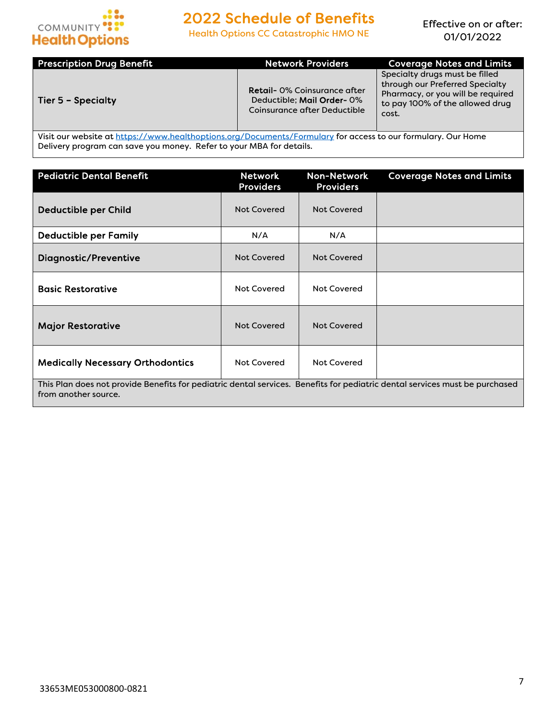

Health Options CC Catastrophic HMO NE

Effective on or after: 01/01/2022

| <b>Prescription Drug Benefit</b> | <b>Network Providers</b>                                                                         | <b>Coverage Notes and Limits</b>                                                                                                                   |
|----------------------------------|--------------------------------------------------------------------------------------------------|----------------------------------------------------------------------------------------------------------------------------------------------------|
| Tier 5 - Specialty               | <b>Retail- 0% Coinsurance after</b><br>Deductible: Mail Order-0%<br>Coinsurance after Deductible | Specialty drugs must be filled<br>through our Preferred Specialty<br>Pharmacy, or you will be required<br>to pay 100% of the allowed drug<br>cost. |

Visit our website at https://www.healthoptions.org/Documents/Formulary for access to our formulary. Our Home Delivery program can save you money. Refer to your MBA for details.

| <b>Pediatric Dental Benefit</b>                                                                                                                     | <b>Network</b><br><b>Providers</b> | <b>Non-Network</b><br><b>Providers</b> | <b>Coverage Notes and Limits</b> |
|-----------------------------------------------------------------------------------------------------------------------------------------------------|------------------------------------|----------------------------------------|----------------------------------|
| <b>Deductible per Child</b>                                                                                                                         | <b>Not Covered</b>                 | <b>Not Covered</b>                     |                                  |
| <b>Deductible per Family</b>                                                                                                                        | N/A                                | N/A                                    |                                  |
| <b>Diagnostic/Preventive</b>                                                                                                                        | <b>Not Covered</b>                 | <b>Not Covered</b>                     |                                  |
| <b>Basic Restorative</b>                                                                                                                            | <b>Not Covered</b>                 | <b>Not Covered</b>                     |                                  |
| <b>Major Restorative</b>                                                                                                                            | <b>Not Covered</b>                 | Not Covered                            |                                  |
| <b>Medically Necessary Orthodontics</b>                                                                                                             | <b>Not Covered</b>                 | <b>Not Covered</b>                     |                                  |
| This Plan does not provide Benefits for pediatric dental services. Benefits for pediatric dental services must be purchased<br>from another source. |                                    |                                        |                                  |